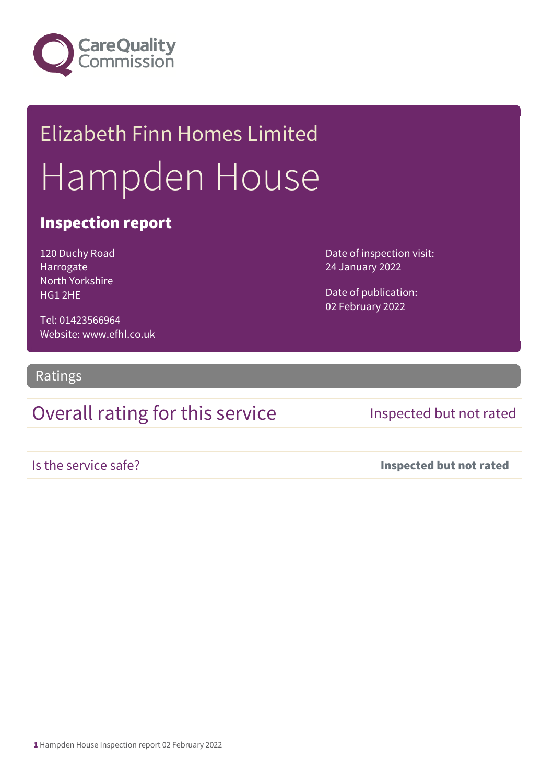

# Elizabeth Finn Homes Limited Hampden House

### Inspection report

120 Duchy Road Harrogate North Yorkshire HG1 2HE

Date of inspection visit: 24 January 2022

Date of publication: 02 February 2022

Tel: 01423566964 Website: www.efhl.co.uk

Ratings

### Overall rating for this service Inspected but not rated

Is the service safe? Inspected but not rated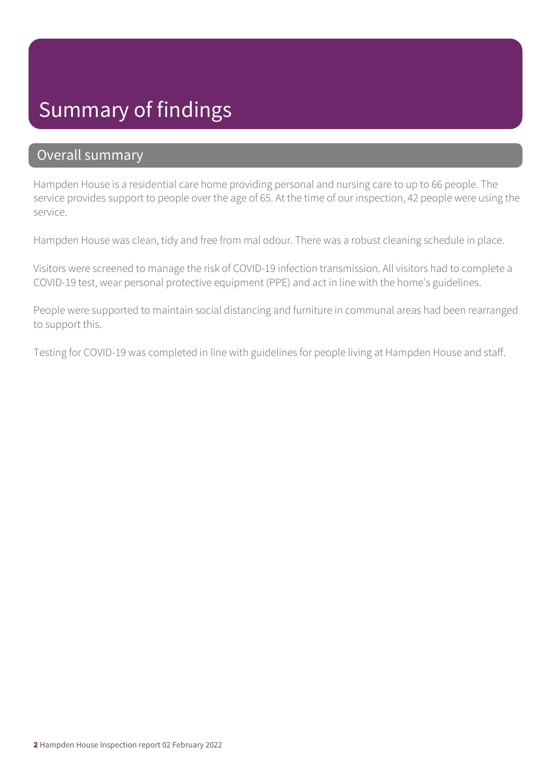## Summary of findings

### Overall summary

Hampden House is a residential care home providing personal and nursing care to up to 66 people. The service provides support to people over the age of 65. At the time of our inspection, 42 people were using the service.

Hampden House was clean, tidy and free from mal odour. There was a robust cleaning schedule in place.

Visitors were screened to manage the risk of COVID-19 infection transmission. All visitors had to complete a COVID-19 test, wear personal protective equipment (PPE) and act in line with the home's guidelines.

People were supported to maintain social distancing and furniture in communal areas had been rearranged to support this.

Testing for COVID-19 was completed in line with guidelines for people living at Hampden House and staff.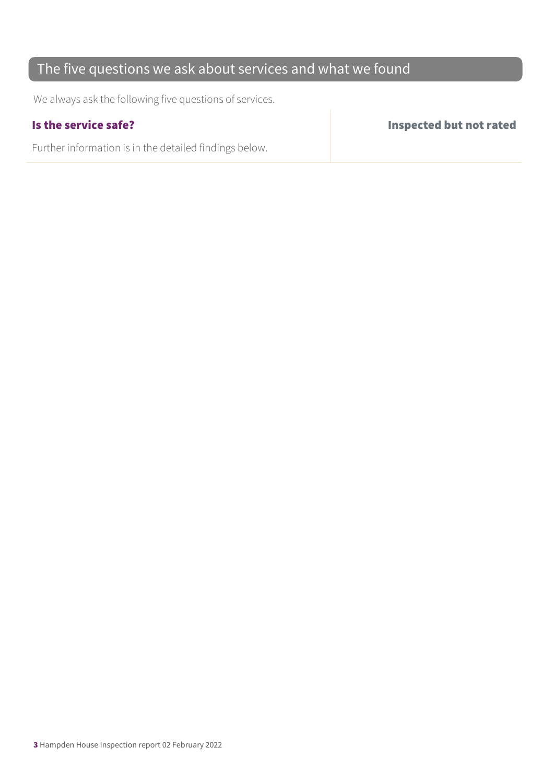### The five questions we ask about services and what we found

We always ask the following five questions of services.

Further information is in the detailed findings below.

Is the service safe? Inspected but not rated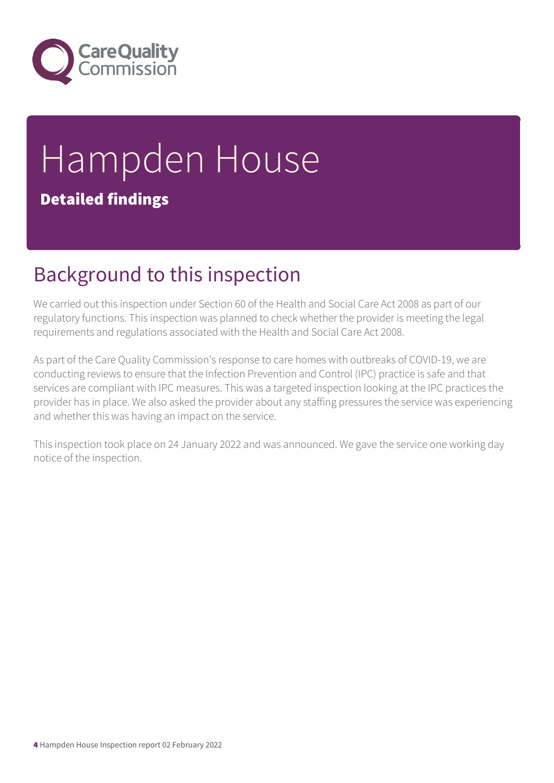

# Hampden House Detailed findings

## Background to this inspection

We carried out this inspection under Section 60 of the Health and Social Care Act 2008 as part of our regulatory functions. This inspection was planned to check whether the provider is meeting the legal requirements and regulations associated with the Health and Social Care Act 2008.

As part of the Care Quality Commission's response to care homes with outbreaks of COVID-19, we are conducting reviews to ensure that the Infection Prevention and Control (IPC) practice is safe and that services are compliant with IPC measures. This was a targeted inspection looking at the IPC practices the provider has in place. We also asked the provider about any staffing pressures the service was experiencing and whether this was having an impact on the service.

This inspection took place on 24 January 2022 and was announced. We gave the service one working day notice of the inspection.